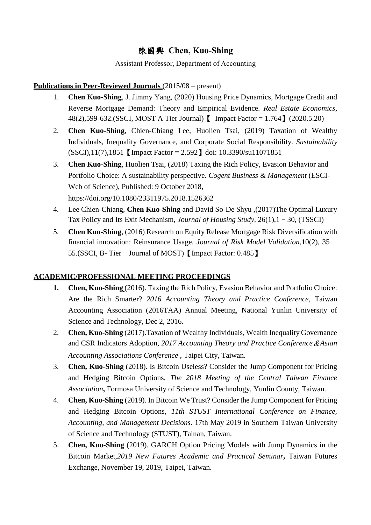## 陳國興 **Chen, Kuo-Shing**

Assistant Professor, Department of Accounting

## **Publications in Peer-Reviewed Journals** (2015/08 – present)

- 1. **Chen Kuo-Shing**, J. Jimmy Yang, (2020) Housing Price Dynamics, Mortgage Credit and Reverse Mortgage Demand: Theory and Empirical Evidence. *Real Estate Economics,* 48(2),599-632.(SSCI, MOST A Tier Journal)【 Impact Factor = 1.764】(2020.5.20)
- 2. **Chen Kuo-Shing**, Chien-Chiang Lee, Huolien Tsai, (2019) Taxation of Wealthy Individuals, Inequality Governance, and Corporate Social Responsibility. *Sustainability* (SSCI),11(7),1851【Impact Factor = 2.592】doi: 10.3390/su11071851
- 3. **Chen Kuo-Shing**, Huolien Tsai, (2018) Taxing the Rich Policy, Evasion Behavior and Portfolio Choice: A sustainability perspective. *Cogent Business & Management* (ESCI-Web of Science), Published: 9 October 2018, https://doi.org/10.1080/23311975.2018.1526362
- 4. Lee Chien-Chiang, **Chen Kuo-Shing** and David So-De Shyu ,(2017)The Optimal Luxury Tax Policy and Its Exit Mechanism, *Journal of Housing Study,* 26(1),1–30, (TSSCI)
- 5. **Chen Kuo-Shing**, (2016) Research on Equity Release Mortgage Risk Diversification with financial innovation: Reinsurance Usage. *Journal of Risk Model Validation,*10(2), 35– 55.(SSCI, B- Tier Journal of MOST)【Impact Factor: 0.485】

## **ACADEMIC/PROFESSIONAL MEETING PROCEEDINGS**

- **1. Chen, Kuo-Shing** (2016). Taxing the Rich Policy, Evasion Behavior and Portfolio Choice: Are the Rich Smarter? *2016 Accounting Theory and Practice Conference*, Taiwan Accounting Association (2016TAA) Annual Meeting, National Yunlin University of Science and Technology, Dec 2, 2016.
- 2. **Chen, Kuo-Shing** (2017).Taxation of Wealthy Individuals, Wealth Inequality Governance and CSR Indicators Adoption, *2017 Accounting Theory and Practice Conference*&*Asian Accounting Associations Conference* , Taipei City, Taiwan.
- 3. **Chen, Kuo-Shing** (2018). Is Bitcoin Useless? Consider the Jump Component for Pricing and Hedging Bitcoin Options, *The 2018 Meeting of the Central Taiwan Finance Association***,** Formosa University of Science and Technology, Yunlin County, Taiwan.
- 4. **Chen, Kuo-Shing** (2019). In Bitcoin We Trust? Consider the Jump Component for Pricing and Hedging Bitcoin Options, *11th STUST International Conference on Finance, Accounting, and Management Decisions*. 17th May 2019 in Southern Taiwan University of Science and Technology (STUST), Tainan, Taiwan.
- 5. **Chen, Kuo-Shing** (2019). GARCH Option Pricing Models with Jump Dynamics in the Bitcoin Market,*2019 New Futures Academic and Practical Seminar***,** Taiwan Futures Exchange, November 19, 2019, Taipei, Taiwan.